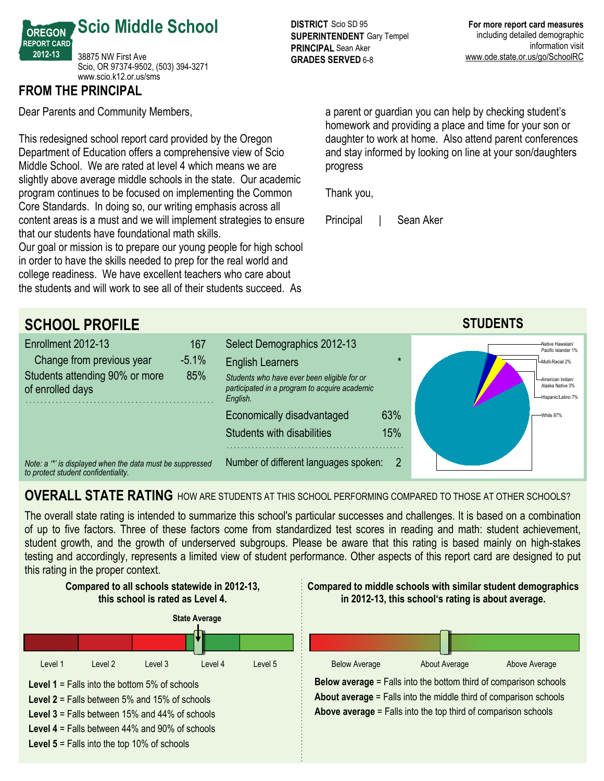

#### **FROM THE PRINCIPAL**

Dear Parents and Community Members,

This redesigned school report card provided by the Oregon Department of Education offers a comprehensive view of Scio Middle School. We are rated at level 4 which means we are slightly above average middle schools in the state. Our academic program continues to be focused on implementing the Common Core Standards. In doing so, our writing emphasis across all content areas is a must and we will implement strategies to ensure that our students have foundational math skills.

Our goal or mission is to prepare our young people for high school in order to have the skills needed to prep for the real world and college readiness. We have excellent teachers who care about the students and will work to see all of their students succeed. As

**DISTRICT** Scio SD 95 **SUPERINTENDENT** Gary Tempel **PRINCIPAL** Sean Aker **GRADES SERVED 6-8** 

a parent or guardian you can help by checking student's homework and providing a place and time for your son or daughter to work at home. Also attend parent conferences and stay informed by looking on line at your son/daughters progress

Thank you,

Principal | Sean Aker



## **OVERALL STATE RATING** HOW ARE STUDENTS AT THIS SCHOOL PERFORMING COMPARED TO THOSE AT OTHER SCHOOLS?

The overall state rating is intended to summarize this school's particular successes and challenges. It is based on a combination of up to five factors. Three of these factors come from standardized test scores in reading and math: student achievement,



student growth, and the growth of underserved subgroups. Please be aware that this rating is based mainly on high-stakes testing and accordingly, represents a limited view of student performance. Other aspects of this report card are designed to put this rating in the proper context.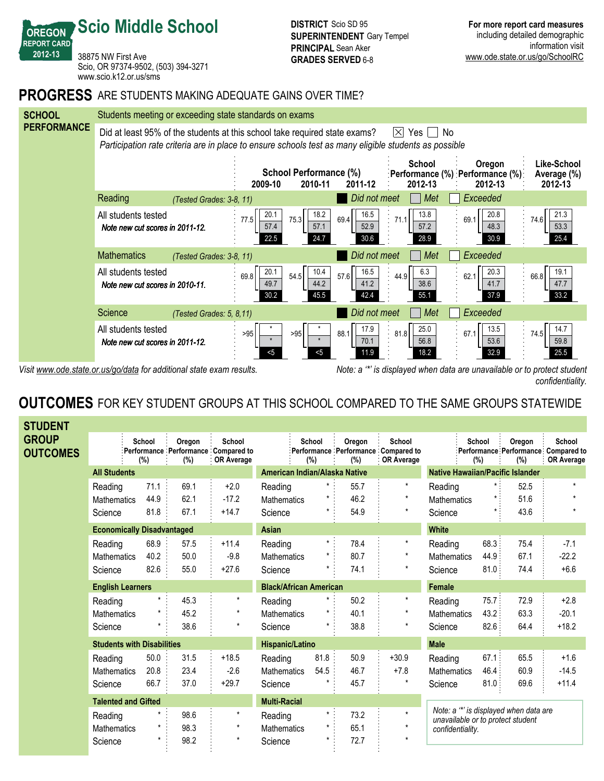38875 NW First Ave Scio, OR 97374-9502, (503) 394-3271 www.scio.k12.or.us/sms

**Scio Middle School**

**OREGON REPORT CARD 201213**

#### **PROGRESS** ARE STUDENTS MAKING ADEQUATE GAINS OVER TIME?



Visit www.ode.state.or.us/go/data for additional state exam results. Note: a '\*' is displayed when data are unavailable or to protect student *confidentiality.*

## **OUTCOMES** FOR KEY STUDENT GROUPS AT THIS SCHOOL COMPARED TO THE SAME GROUPS STATEWIDE

| <b>STUDENT</b>           |                                   |               |               |                                                                    |                               |               |               |                                                                    |                                                                             |               |               |                                                                     |
|--------------------------|-----------------------------------|---------------|---------------|--------------------------------------------------------------------|-------------------------------|---------------|---------------|--------------------------------------------------------------------|-----------------------------------------------------------------------------|---------------|---------------|---------------------------------------------------------------------|
| GROUP<br><b>OUTCOMES</b> |                                   | School<br>(%) | Oregon<br>(%) | School<br>Performance Performance Compared to<br><b>OR Average</b> |                               | School<br>(%) | Oregon<br>(%) | School<br>Performance Performance Compared to<br><b>OR Average</b> |                                                                             | School<br>(%) | Oregon<br>(%) | School<br>:Performance Performance Compared to<br><b>OR Average</b> |
|                          | <b>All Students</b>               |               |               |                                                                    | American Indian/Alaska Native |               |               | <b>Native Hawaiian/Pacific Islander</b>                            |                                                                             |               |               |                                                                     |
|                          | Reading                           | 71.1          | 69.1          | $+2.0$                                                             | Reading                       | $\star$ :     | 55.7          | $\star$                                                            | Reading                                                                     |               | 52.5          | $\star$                                                             |
|                          | <b>Mathematics</b>                | 44.9          | 62.1          | $-17.2$                                                            | Mathematics                   | $\star$       | 46.2          | $^\star$                                                           | Mathematics                                                                 | $\star$       | 51.6          | $\star$                                                             |
|                          | Science                           | 81.8          | 67.1          | $+14.7$                                                            | Science                       | $\star$       | 54.9          | $\star$                                                            | Science                                                                     |               | 43.6          |                                                                     |
|                          | <b>Economically Disadvantaged</b> |               |               |                                                                    | Asian                         |               |               |                                                                    | <b>White</b>                                                                |               |               |                                                                     |
|                          | Reading                           | 68.9          | 57.5          | $+11.4$                                                            | Reading                       | $\star$ .     | 78.4          | $\star$                                                            | Reading                                                                     | 68.3:         | 75.4          | $-7.1$                                                              |
|                          | <b>Mathematics</b>                | 40.2          | 50.0          | $-9.8$                                                             | <b>Mathematics</b>            | $\star$       | 80.7          |                                                                    | <b>Mathematics</b>                                                          | 44.9          | 67.1          | $-22.2$                                                             |
|                          | Science                           | 82.6          | 55.0          | $+27.6$                                                            | Science                       |               | 74.1          | $\star$                                                            | Science                                                                     | 81.0:         | 74.4          | $+6.6$                                                              |
|                          | <b>English Learners</b>           |               |               |                                                                    | <b>Black/African American</b> |               |               |                                                                    | <b>Female</b>                                                               |               |               |                                                                     |
|                          | Reading                           |               | 45.3          | $\star$                                                            | Reading                       | $^\star$      | 50.2          | $\star$                                                            | Reading                                                                     | 75.7:         | 72.9          | $+2.8$                                                              |
|                          | Mathematics                       |               | 45.2          | $\star$                                                            | Mathematics                   |               | 40.1          |                                                                    | <b>Mathematics</b>                                                          | 43.2:         | 63.3          | $-20.1$                                                             |
|                          | Science                           |               | 38.6          | $\star$                                                            | Science                       | $\star$       | 38.8          | $\star$                                                            | Science                                                                     | 82.6:         | 64.4          | $+18.2$                                                             |
|                          | <b>Students with Disabilities</b> |               |               |                                                                    | <b>Hispanic/Latino</b>        |               |               |                                                                    | <b>Male</b>                                                                 |               |               |                                                                     |
|                          | Reading                           | 50.0          | 31.5          | $+18.5$                                                            | Reading                       | 81.8          | 50.9          | $+30.9$                                                            | Reading                                                                     | 67.1          | 65.5          | $+1.6$                                                              |
|                          | <b>Mathematics</b>                | 20.8          | 23.4          | $-2.6$                                                             | <b>Mathematics</b>            | 54.5          | 46.7          | $+7.8$                                                             | <b>Mathematics</b>                                                          | 46.4:         | 60.9          | $-14.5$                                                             |
|                          | Science                           | 66.7          | 37.0          | $+29.7$                                                            | Science                       |               | 45.7          | $\star$                                                            | Science                                                                     | 81.0          | 69.6          | $+11.4$                                                             |
|                          | <b>Talented and Gifted</b>        |               |               |                                                                    | <b>Multi-Racial</b>           |               |               |                                                                    |                                                                             |               |               |                                                                     |
|                          | Reading                           |               | 98.6          | $^\star$                                                           | Reading                       | $\star$ .     | 73.2          | $\star$                                                            | Note: a "*' is displayed when data are<br>unavailable or to protect student |               |               |                                                                     |
|                          | <b>Mathematics</b>                |               | 98.3          | $\star$                                                            | <b>Mathematics</b>            | $\star$ :     | 65.1          | $\star$                                                            | confidentiality.                                                            |               |               |                                                                     |
|                          | Science                           |               | 98.2          | $^\star$                                                           | Science                       | $\star$       | 72.7          |                                                                    |                                                                             |               |               |                                                                     |
|                          |                                   |               |               |                                                                    |                               |               |               |                                                                    |                                                                             |               |               |                                                                     |